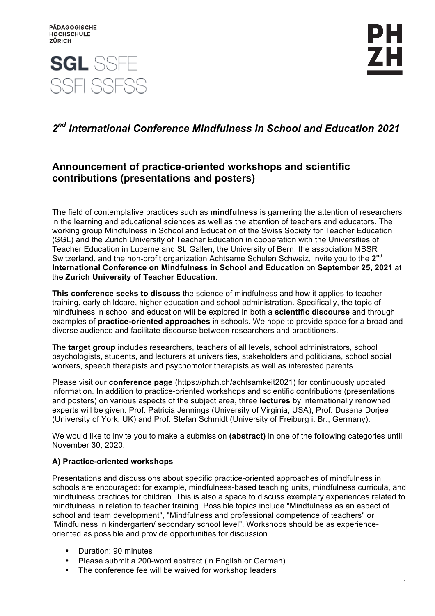

# **SGL SSFE** SSE SSESS

## *2nd International Conference Mindfulness in School and Education 2021*

### **Announcement of practice-oriented workshops and scientific contributions (presentations and posters)**

The field of contemplative practices such as **mindfulness** is garnering the attention of researchers in the learning and educational sciences as well as the attention of teachers and educators. The working group Mindfulness in School and Education of the Swiss Society for Teacher Education (SGL) and the Zurich University of Teacher Education in cooperation with the Universities of Teacher Education in Lucerne and St. Gallen, the University of Bern, the association MBSR Switzerland, and the non-profit organization Achtsame Schulen Schweiz, invite you to the **2nd International Conference on Mindfulness in School and Education** on **September 25, 2021** at the **Zurich University of Teacher Education**.

**This conference seeks to discuss** the science of mindfulness and how it applies to teacher training, early childcare, higher education and school administration. Specifically, the topic of mindfulness in school and education will be explored in both a **scientific discourse** and through examples of **practice-oriented approaches** in schools. We hope to provide space for a broad and diverse audience and facilitate discourse between researchers and practitioners.

The **target group** includes researchers, teachers of all levels, school administrators, school psychologists, students, and lecturers at universities, stakeholders and politicians, school social workers, speech therapists and psychomotor therapists as well as interested parents.

Please visit our **conference page** (https://phzh.ch/achtsamkeit2021) for continuously updated information. In addition to practice-oriented workshops and scientific contributions (presentations and posters) on various aspects of the subject area, three **lectures** by internationally renowned experts will be given: Prof. Patricia Jennings (University of Virginia, USA), Prof. Dusana Dorjee (University of York, UK) and Prof. Stefan Schmidt (University of Freiburg i. Br., Germany).

We would like to invite you to make a submission **(abstract)** in one of the following categories until November 30, 2020:

#### **A) Practice-oriented workshops**

Presentations and discussions about specific practice-oriented approaches of mindfulness in schools are encouraged: for example, mindfulness-based teaching units, mindfulness curricula, and mindfulness practices for children. This is also a space to discuss exemplary experiences related to mindfulness in relation to teacher training. Possible topics include "Mindfulness as an aspect of school and team development", "Mindfulness and professional competence of teachers" or "Mindfulness in kindergarten/ secondary school level". Workshops should be as experienceoriented as possible and provide opportunities for discussion.

- Duration: 90 minutes
- Please submit a 200-word abstract (in English or German)
- The conference fee will be waived for workshop leaders